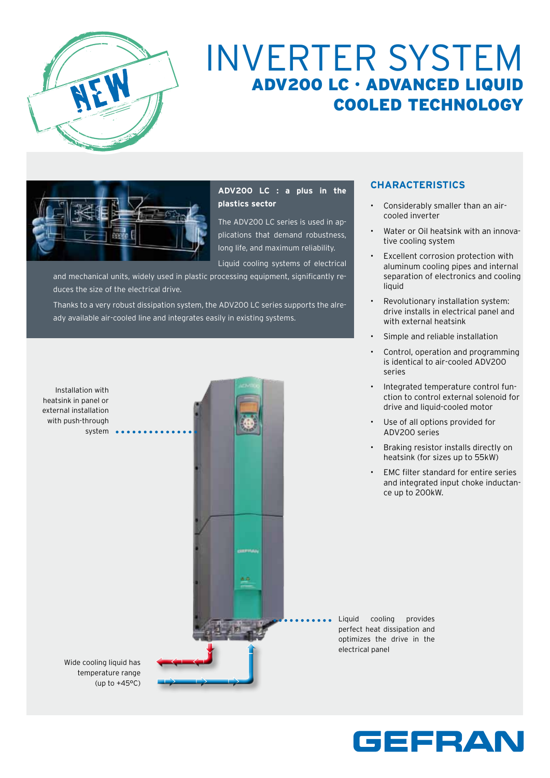

# Inverter System ADV200 LC · ADVANCED LIQUID COOLED TECHNOLOGY



**ADV200 LC : a plus in the plastics sector** 

The ADV200 LC series is used in applications that demand robustness, long life, and maximum reliability.

Liquid cooling systems of electrical and mechanical units, widely used in plastic processing equipment, significantly reduces the size of the electrical drive.

Thanks to a very robust dissipation system, the ADV200 LC series supports the already available air-cooled line and integrates easily in existing systems.



# **CHARACTERISTICS**

- Considerably smaller than an aircooled inverter
- Water or Oil heatsink with an innovative cooling system
- Excellent corrosion protection with aluminum cooling pipes and internal separation of electronics and cooling liquid
- Revolutionary installation system: drive installs in electrical panel and with external heatsink
- Simple and reliable installation
- Control, operation and programming is identical to air-cooled ADV200 series
- Integrated temperature control function to control external solenoid for drive and liquid-cooled motor
- Use of all options provided for ADV200 series
- Braking resistor installs directly on heatsink (for sizes up to 55kW)
- EMC filter standard for entire series and integrated input choke inductance up to 200kW.

Liquid cooling provides perfect heat dissipation and optimizes the drive in the electrical panel